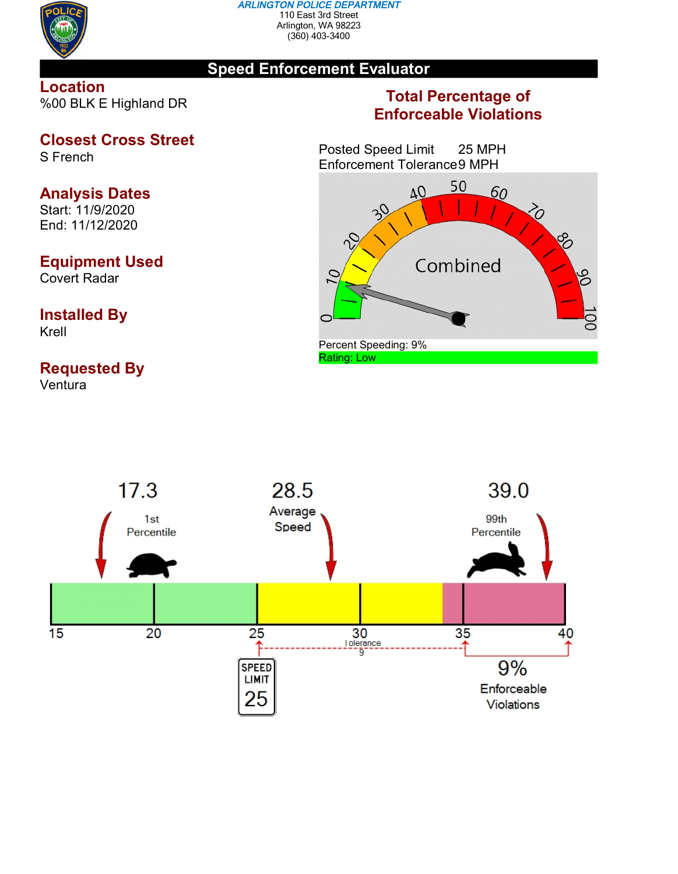

#### *ARLINGTON POLICE DEPARTMENT* 110 East 3rd Street Arlington, WA 98223 (360) 403-3400

# **Speed Enforcement Evaluator**

## **Location** %00 BLK E Highland DR

### **Closest Cross Street** S French

# **Analysis Dates**

Start: 11/9/2020 End: 11/12/2020

# **Equipment Used**

Covert Radar

## **Installed By** Krell

# **Requested By**

Ventura

# **Total Percentage of Enforceable Violations**

Posted Speed Limit 25 MPH Enforcement Tolerance9 MPH